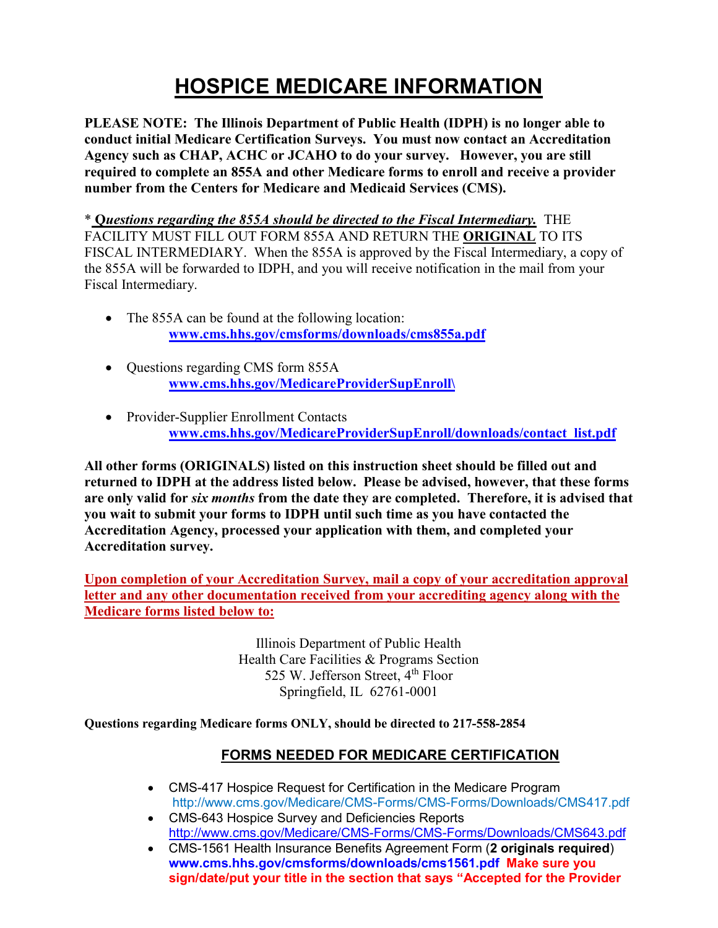# **HOSPICE MEDICARE INFORMATION**

**PLEASE NOTE: The Illinois Department of Public Health (IDPH) is no longer able to conduct initial Medicare Certification Surveys. You must now contact an Accreditation Agency such as CHAP, ACHC or JCAHO to do your survey. However, you are still required to complete an 855A and other Medicare forms to enroll and receive a provider number from the Centers for Medicare and Medicaid Services (CMS).** 

\* **Q***uestions regarding the 855A should be directed to the Fiscal Intermediary.* THE FACILITY MUST FILL OUT FORM 855A AND RETURN THE **ORIGINAL** TO ITS FISCAL INTERMEDIARY. When the 855A is approved by the Fiscal Intermediary, a copy of the 855A will be forwarded to IDPH, and you will receive notification in the mail from your Fiscal Intermediary.

- The 855A can be found at the following location: **[www.cms.hhs.gov/cmsforms/downloads/cms855a.pdf](http://www.cms.hhs.gov/cmsforms/downloads/cms855a.pdf)**
- Questions regarding CMS form 855A **[www.cms.hhs.gov/MedicareProviderSupEnroll\](http://www.cms.hhs.gov/MedicareProviderSupEnroll/)**
- Provider-Supplier Enrollment Contacts **[www.cms.hhs.gov/MedicareProviderSupEnroll/downloads/contact\\_list.pdf](http://www.cms.hhs.gov/MedicareProviderSupEnroll/downloads/contact_list.pdf)**

**All other forms (ORIGINALS) listed on this instruction sheet should be filled out and returned to IDPH at the address listed below. Please be advised, however, that these forms are only valid for** *six months* **from the date they are completed. Therefore, it is advised that you wait to submit your forms to IDPH until such time as you have contacted the Accreditation Agency, processed your application with them, and completed your Accreditation survey.**

**Upon completion of your Accreditation Survey, mail a copy of your accreditation approval letter and any other documentation received from your accrediting agency along with the Medicare forms listed below to:**

> Illinois Department of Public Health Health Care Facilities & Programs Section 525 W. Jefferson Street, 4<sup>th</sup> Floor Springfield, IL 62761-0001

**Questions regarding Medicare forms ONLY, should be directed to 217-558-2854**

#### **FORMS NEEDED FOR MEDICARE CERTIFICATION**

- CMS-417 Hospice Request for Certification in the Medicare Program http://www.cms.gov/Medicare/CMS-Forms/CMS-Forms/Downloads/CMS417.pdf
- CMS-643 Hospice Survey and Deficiencies Reports <http://www.cms.gov/Medicare/CMS-Forms/CMS-Forms/Downloads/CMS643.pdf>
- CMS-1561 Health Insurance Benefits Agreement Form (**2 originals required**) **[www.cms.hhs.gov/cmsforms/downloads/cms1561.pdf](http://www.cms.hhs.gov/cmsforms/downloads/cms1561.pdf) Make sure you sign/date/put your title in the section that says "Accepted for the Provider**